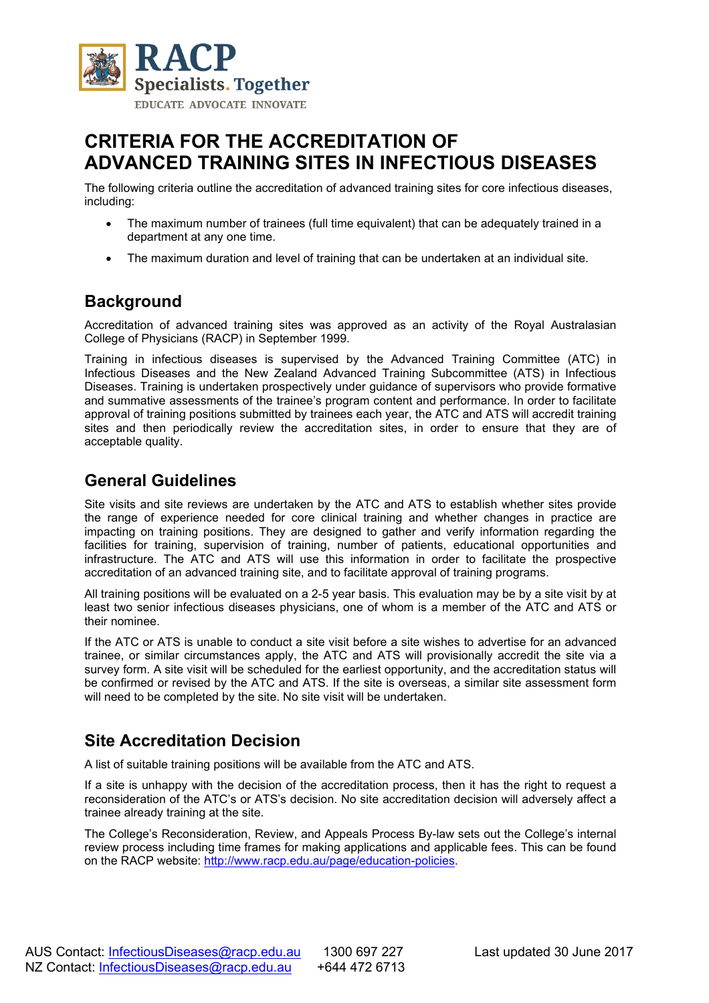

# **CRITERIA FOR THE ACCREDITATION OF ADVANCED TRAINING SITES IN INFECTIOUS DISEASES**

The following criteria outline the accreditation of advanced training sites for core infectious diseases, including:

- The maximum number of trainees (full time equivalent) that can be adequately trained in a department at any one time.
- The maximum duration and level of training that can be undertaken at an individual site.

#### **Background**

Accreditation of advanced training sites was approved as an activity of the Royal Australasian College of Physicians (RACP) in September 1999.

Training in infectious diseases is supervised by the Advanced Training Committee (ATC) in Infectious Diseases and the New Zealand Advanced Training Subcommittee (ATS) in Infectious Diseases. Training is undertaken prospectively under guidance of supervisors who provide formative and summative assessments of the trainee's program content and performance. In order to facilitate approval of training positions submitted by trainees each year, the ATC and ATS will accredit training sites and then periodically review the accreditation sites, in order to ensure that they are of acceptable quality.

#### **General Guidelines**

Site visits and site reviews are undertaken by the ATC and ATS to establish whether sites provide the range of experience needed for core clinical training and whether changes in practice are impacting on training positions. They are designed to gather and verify information regarding the facilities for training, supervision of training, number of patients, educational opportunities and infrastructure. The ATC and ATS will use this information in order to facilitate the prospective accreditation of an advanced training site, and to facilitate approval of training programs.

All training positions will be evaluated on a 2-5 year basis. This evaluation may be by a site visit by at least two senior infectious diseases physicians, one of whom is a member of the ATC and ATS or their nominee.

If the ATC or ATS is unable to conduct a site visit before a site wishes to advertise for an advanced trainee, or similar circumstances apply, the ATC and ATS will provisionally accredit the site via a survey form. A site visit will be scheduled for the earliest opportunity, and the accreditation status will be confirmed or revised by the ATC and ATS. If the site is overseas, a similar site assessment form will need to be completed by the site. No site visit will be undertaken.

### **Site Accreditation Decision**

A list of suitable training positions will be available from the ATC and ATS.

If a site is unhappy with the decision of the accreditation process, then it has the right to request a reconsideration of the ATC's or ATS's decision. No site accreditation decision will adversely affect a trainee already training at the site.

The College's Reconsideration, Review, and Appeals Process By-law sets out the College's internal review process including time frames for making applications and applicable fees. This can be found on the RACP website: [http://www.racp.edu.au/page/education-policies.](http://www.racp.edu.au/page/education-policies)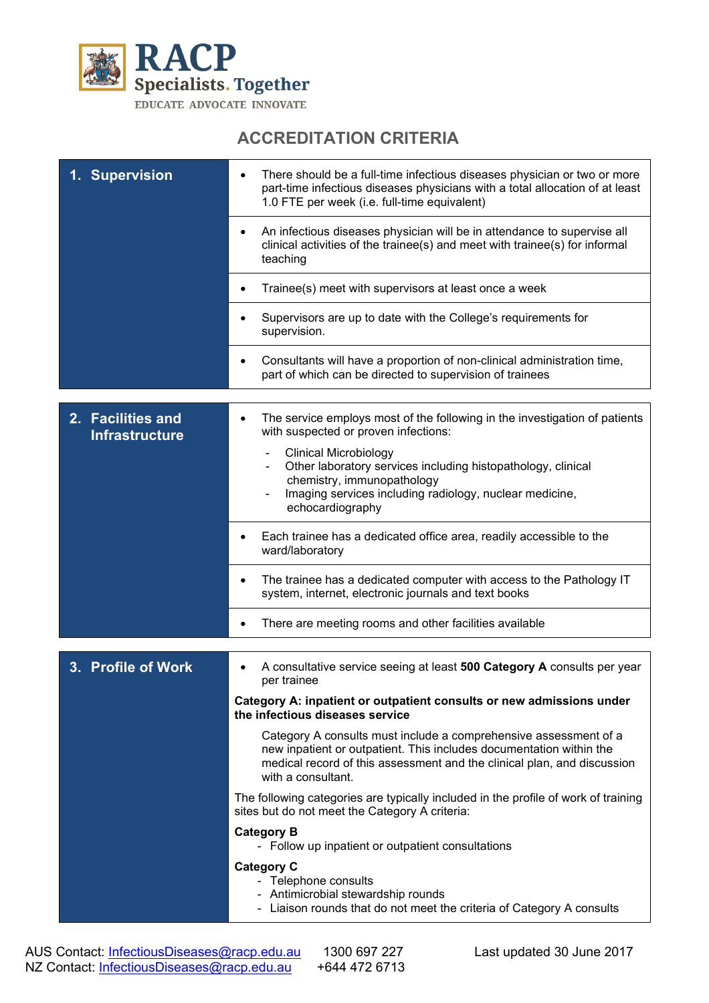

# **ACCREDITATION CRITERIA**

| 1. Supervision                             | There should be a full-time infectious diseases physician or two or more<br>part-time infectious diseases physicians with a total allocation of at least<br>1.0 FTE per week (i.e. full-time equivalent)                                 |
|--------------------------------------------|------------------------------------------------------------------------------------------------------------------------------------------------------------------------------------------------------------------------------------------|
|                                            | An infectious diseases physician will be in attendance to supervise all<br>clinical activities of the trainee(s) and meet with trainee(s) for informal<br>teaching                                                                       |
|                                            | Trainee(s) meet with supervisors at least once a week                                                                                                                                                                                    |
|                                            | Supervisors are up to date with the College's requirements for<br>supervision.                                                                                                                                                           |
|                                            | Consultants will have a proportion of non-clinical administration time,<br>part of which can be directed to supervision of trainees                                                                                                      |
| 2. Facilities and<br><b>Infrastructure</b> | The service employs most of the following in the investigation of patients<br>with suspected or proven infections:                                                                                                                       |
|                                            | <b>Clinical Microbiology</b><br>Other laboratory services including histopathology, clinical<br>chemistry, immunopathology<br>Imaging services including radiology, nuclear medicine,<br>$\blacksquare$<br>echocardiography              |
|                                            | Each trainee has a dedicated office area, readily accessible to the<br>ward/laboratory                                                                                                                                                   |
|                                            | The trainee has a dedicated computer with access to the Pathology IT<br>system, internet, electronic journals and text books                                                                                                             |
|                                            | There are meeting rooms and other facilities available<br>٠                                                                                                                                                                              |
| 3. Profile of Work                         | A consultative service seeing at least 500 Category A consults per year<br>per trainee                                                                                                                                                   |
|                                            | Category A: inpatient or outpatient consults or new admissions under<br>the infectious diseases service                                                                                                                                  |
|                                            | Category A consults must include a comprehensive assessment of a<br>new inpatient or outpatient. This includes documentation within the<br>medical record of this assessment and the clinical plan, and discussion<br>with a consultant. |
|                                            | The following categories are typically included in the profile of work of training<br>sites but do not meet the Category A criteria:                                                                                                     |
|                                            | <b>Category B</b><br>- Follow up inpatient or outpatient consultations                                                                                                                                                                   |
|                                            | <b>Category C</b><br>- Telephone consults<br>- Antimicrobial stewardship rounds<br>- Liaison rounds that do not meet the criteria of Category A consults                                                                                 |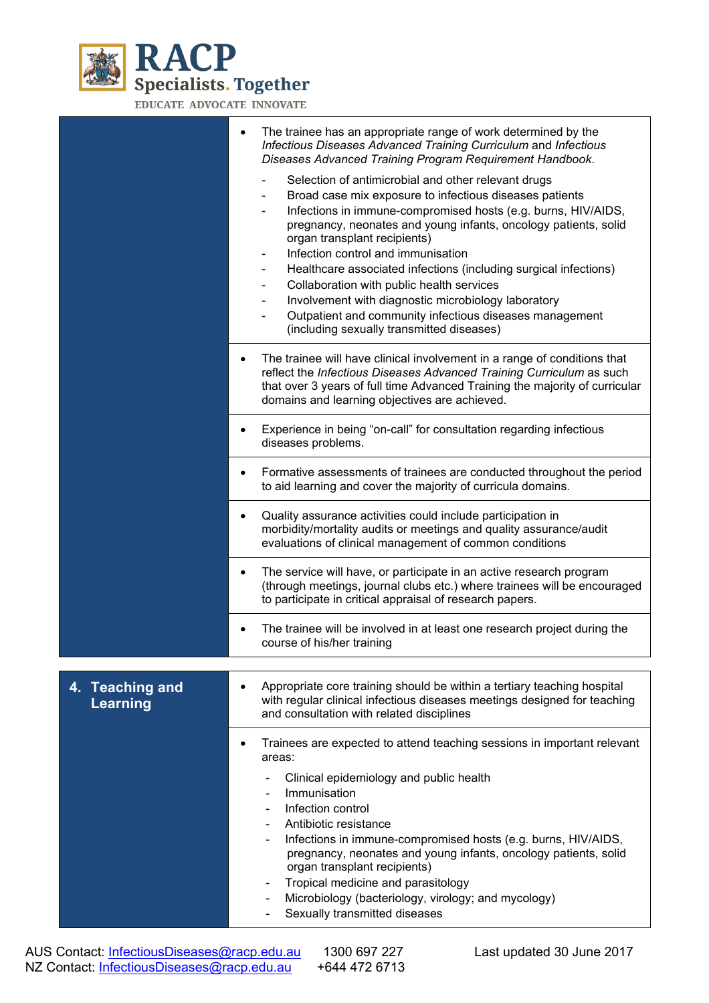

EDUCATE ADVOCATE INNOVATE

|                                    | The trainee has an appropriate range of work determined by the<br>Infectious Diseases Advanced Training Curriculum and Infectious<br>Diseases Advanced Training Program Requirement Handbook.                                                                                                                                                                                                                                                                                                                                                                                                            |
|------------------------------------|----------------------------------------------------------------------------------------------------------------------------------------------------------------------------------------------------------------------------------------------------------------------------------------------------------------------------------------------------------------------------------------------------------------------------------------------------------------------------------------------------------------------------------------------------------------------------------------------------------|
|                                    | Selection of antimicrobial and other relevant drugs<br>Broad case mix exposure to infectious diseases patients<br>Infections in immune-compromised hosts (e.g. burns, HIV/AIDS,<br>pregnancy, neonates and young infants, oncology patients, solid<br>organ transplant recipients)<br>Infection control and immunisation<br>Healthcare associated infections (including surgical infections)<br>Collaboration with public health services<br>Involvement with diagnostic microbiology laboratory<br>Outpatient and community infectious diseases management<br>(including sexually transmitted diseases) |
|                                    | The trainee will have clinical involvement in a range of conditions that<br>$\bullet$<br>reflect the Infectious Diseases Advanced Training Curriculum as such<br>that over 3 years of full time Advanced Training the majority of curricular<br>domains and learning objectives are achieved.                                                                                                                                                                                                                                                                                                            |
|                                    | Experience in being "on-call" for consultation regarding infectious<br>diseases problems.                                                                                                                                                                                                                                                                                                                                                                                                                                                                                                                |
|                                    | Formative assessments of trainees are conducted throughout the period<br>to aid learning and cover the majority of curricula domains.                                                                                                                                                                                                                                                                                                                                                                                                                                                                    |
|                                    | Quality assurance activities could include participation in<br>$\bullet$<br>morbidity/mortality audits or meetings and quality assurance/audit<br>evaluations of clinical management of common conditions                                                                                                                                                                                                                                                                                                                                                                                                |
|                                    | The service will have, or participate in an active research program<br>٠<br>(through meetings, journal clubs etc.) where trainees will be encouraged<br>to participate in critical appraisal of research papers.                                                                                                                                                                                                                                                                                                                                                                                         |
|                                    | The trainee will be involved in at least one research project during the<br>course of his/her training                                                                                                                                                                                                                                                                                                                                                                                                                                                                                                   |
| 4. Teaching and<br><b>Learning</b> | Appropriate core training should be within a tertiary teaching hospital<br>with regular clinical infectious diseases meetings designed for teaching<br>and consultation with related disciplines                                                                                                                                                                                                                                                                                                                                                                                                         |
|                                    | Trainees are expected to attend teaching sessions in important relevant<br>٠<br>areas:                                                                                                                                                                                                                                                                                                                                                                                                                                                                                                                   |
|                                    | Clinical epidemiology and public health<br>Immunisation<br>Infection control<br>Antibiotic resistance<br>Infections in immune-compromised hosts (e.g. burns, HIV/AIDS,<br>pregnancy, neonates and young infants, oncology patients, solid<br>organ transplant recipients)<br>Tropical medicine and parasitology<br>Microbiology (bacteriology, virology; and mycology)<br>Sexually transmitted diseases                                                                                                                                                                                                  |